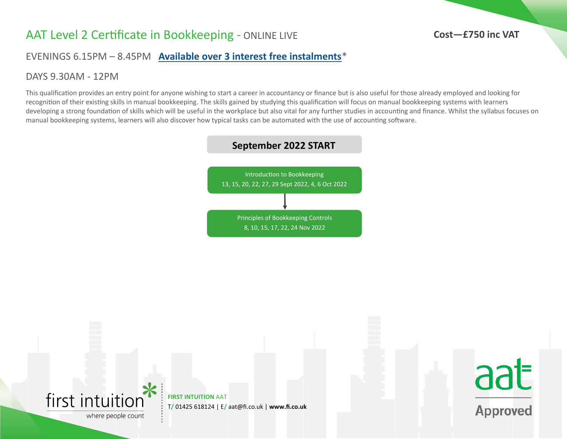## AAT Level 2 Certificate in Bookkeeping - ONLINE LIVE

#### **Cost—£750 inc VAT**

EVENINGS 6.15PM – 8.45PM **[Available over 3 interest free instalments](https://www.firstintuition.co.uk/fihub/aat-distance-learning-instalment-plans/)**\*

#### DAYS 9.30AM - 12PM

This qualification provides an entry point for anyone wishing to start a career in accountancy or finance but is also useful for those already employed and looking for recognition of their existing skills in manual bookkeeping. The skills gained by studying this qualification will focus on manual bookkeeping systems with learners developing a strong foundation of skills which will be useful in the workplace but also vital for any further studies in accounting and finance. Whilst the syllabus focuses on manual bookkeeping systems, learners will also discover how typical tasks can be automated with the use of accounting software.



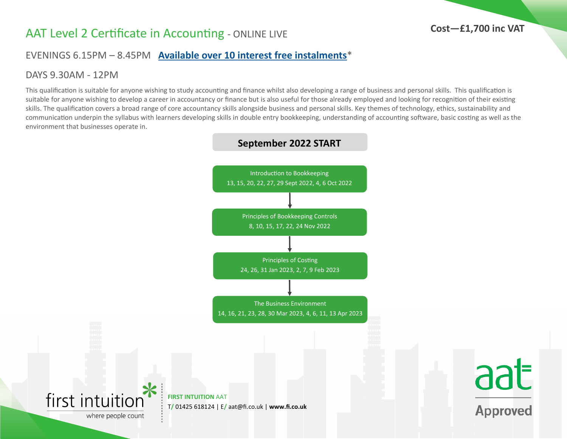# AAT Level 2 Certificate in Accounting - ONLINE LIVE

#### EVENINGS 6.15PM – 8.45PM **[Available over 10 interest free instalments](https://www.firstintuition.co.uk/fihub/aat-distance-learning-instalment-plans/)**\*

#### DAYS 9.30AM - 12PM

This qualification is suitable for anyone wishing to study accounting and finance whilst also developing a range of business and personal skills. This qualification is suitable for anyone wishing to develop a career in accountancy or finance but is also useful for those already employed and looking for recognition of their existing skills. The qualification covers a broad range of core accountancy skills alongside business and personal skills. Key themes of technology, ethics, sustainability and communication underpin the syllabus with learners developing skills in double entry bookkeeping, understanding of accounting software, basic costing as well as the environment that businesses operate in.

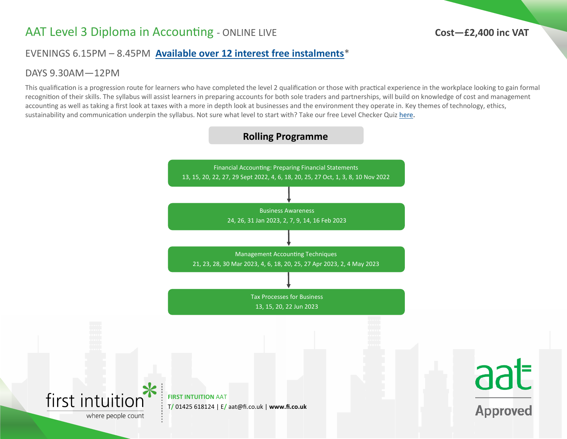# AAT Level 3 Diploma in Accounting - ONLINE LIVE

#### **Cost—£2,400 inc VAT**

aat

**Approved** 

### EVENINGS 6.15PM – 8.45PM **[Available over 12 interest free instalments](https://www.firstintuition.co.uk/fihub/aat-distance-learning-instalment-plans/)**\*

#### DAYS 9.30AM—12PM

This qualification is a progression route for learners who have completed the level 2 qualification or those with practical experience in the workplace looking to gain formal recognition of their skills. The syllabus will assist learners in preparing accounts for both sole traders and partnerships, will build on knowledge of cost and management accounting as well as taking a first look at taxes with a more in depth look at businesses and the environment they operate in. Key themes of technology, ethics, sustainability and communication underpin the syllabus. Not sure what level to start with? Take our free Level Checker Quiz [here.](https://www.firstintuition.co.uk/fihub/start-your-aat-studies-at-the-right-level/)

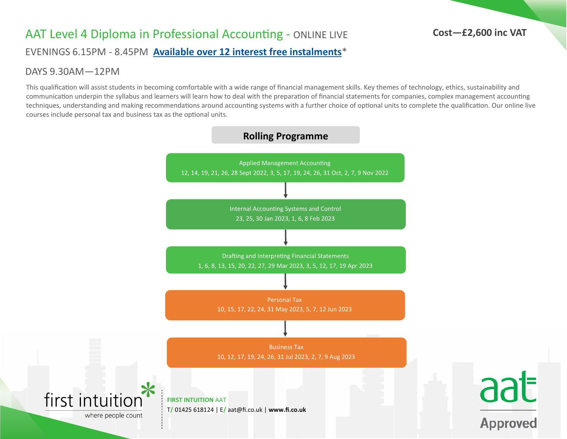# AAT Level 4 Diploma in Professional Accounting - ONLINE LIVE

#### **Cost—£2,600 inc VAT**

EVENINGS 6.15PM - 8.45PM **[Available over 12 interest free instalments](https://www.firstintuition.co.uk/fihub/aat-distance-learning-instalment-plans/)**\*

#### DAYS 9.30AM—12PM

This qualification will assist students in becoming comfortable with a wide range of financial management skills. Key themes of technology, ethics, sustainability and communication underpin the syllabus and learners will learn how to deal with the preparation of financial statements for companies, complex management accounting techniques, understanding and making recommendations around accounting systems with a further choice of optional units to complete the qualification. Our online live courses include personal tax and business tax as the optional units.

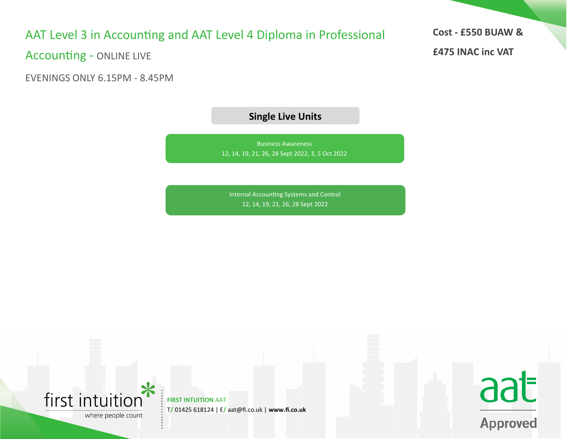# AAT Level 3 in Accounting and AAT Level 4 Diploma in Professional

Accounting - ONLINE LIVE

EVENINGS ONLY 6.15PM - 8.45PM

**Single Live Units**

Business Awareness 12, 14, 19, 21, 26, 28 Sept 2022, 3, 5 Oct 2022

Internal Accounting Systems and Control 12, 14, 19, 21, 26, 28 Sept 2022



**FIRST INTUITION AAT** T**/** 01425 618124 | E**/** aat@fi.co.uk | **www.fi.co.uk** **Cost - £550 BUAW &**

aat

**Approved** 

**£475 INAC inc VAT**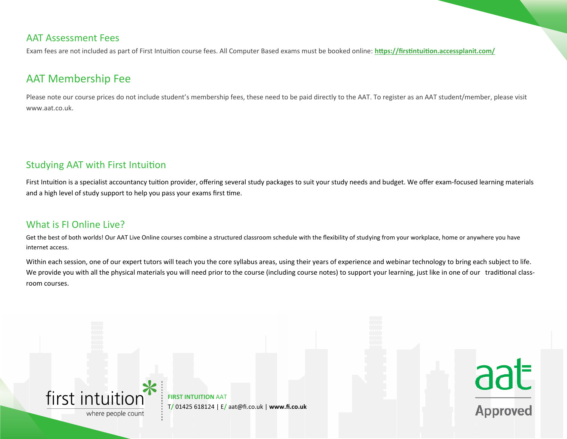#### AAT Assessment Fees

Exam fees are not included as part of First Intuition course fees. All Computer Based exams must be booked online: **<https://firstintuition.accessplanit.com/>**

### AAT Membership Fee

Please note our course prices do not include student's membership fees, these need to be paid directly to the AAT. To register as an AAT student/member, please visit www.aat.co.uk.

#### Studying AAT with First Intuition

First Intuition is a specialist accountancy tuition provider, offering several study packages to suit your study needs and budget. We offer exam-focused learning materials and a high level of study support to help you pass your exams first time.

#### What is FLOnline Live?

Get the best of both worlds! Our AAT Live Online courses combine a structured classroom schedule with the flexibility of studying from your workplace, home or anywhere you have internet access.

Within each session, one of our expert tutors will teach you the core syllabus areas, using their years of experience and webinar technology to bring each subject to life. We provide you with all the physical materials you will need prior to the course (including course notes) to support your learning, just like in one of our traditional classroom courses.